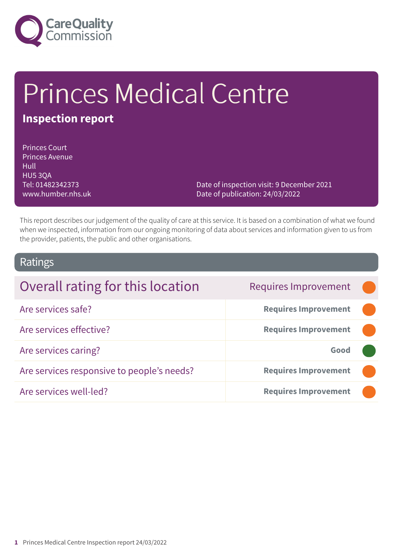

# Princes Medical Centre

## **Inspection report**

Princes Court Princes Avenue **Hull** HU5 3QA Tel: 01482342373 www.humber.nhs.uk

Date of inspection visit: 9 December 2021 Date of publication: 24/03/2022

This report describes our judgement of the quality of care at this service. It is based on a combination of what we found when we inspected, information from our ongoing monitoring of data about services and information given to us from the provider, patients, the public and other organisations.

### Ratings

| Overall rating for this location           | <b>Requires Improvement</b> |  |
|--------------------------------------------|-----------------------------|--|
| Are services safe?                         | <b>Requires Improvement</b> |  |
| Are services effective?                    | <b>Requires Improvement</b> |  |
| Are services caring?                       | Good                        |  |
| Are services responsive to people's needs? | <b>Requires Improvement</b> |  |
| Are services well-led?                     | <b>Requires Improvement</b> |  |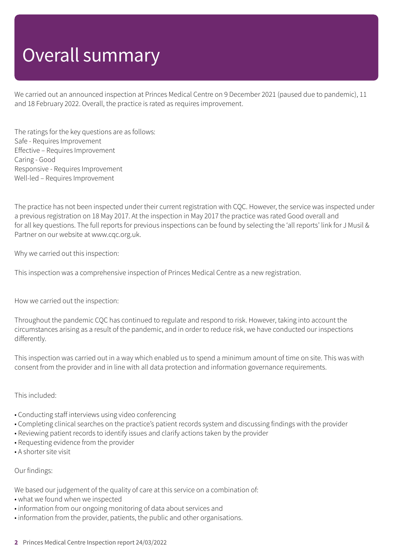## Overall summary

We carried out an announced inspection at Princes Medical Centre on 9 December 2021 (paused due to pandemic), 11 and 18 February 2022. Overall, the practice is rated as requires improvement.

The ratings for the key questions are as follows: Safe - Requires Improvement Effective – Requires Improvement Caring - Good Responsive - Requires Improvement Well-led – Requires Improvement

The practice has not been inspected under their current registration with CQC. However, the service was inspected under a previous registration on 18 May 2017. At the inspection in May 2017 the practice was rated Good overall and for all key questions. The full reports for previous inspections can be found by selecting the 'all reports' link for J Musil & Partner on our website at www.cqc.org.uk.

Why we carried out this inspection:

This inspection was a comprehensive inspection of Princes Medical Centre as a new registration.

How we carried out the inspection:

Throughout the pandemic CQC has continued to regulate and respond to risk. However, taking into account the circumstances arising as a result of the pandemic, and in order to reduce risk, we have conducted our inspections differently.

This inspection was carried out in a way which enabled us to spend a minimum amount of time on site. This was with consent from the provider and in line with all data protection and information governance requirements.

#### This included:

- Conducting staff interviews using video conferencing
- Completing clinical searches on the practice's patient records system and discussing findings with the provider
- Reviewing patient records to identify issues and clarify actions taken by the provider
- Requesting evidence from the provider
- A shorter site visit

#### Our findings:

We based our judgement of the quality of care at this service on a combination of:

- what we found when we inspected
- information from our ongoing monitoring of data about services and
- information from the provider, patients, the public and other organisations.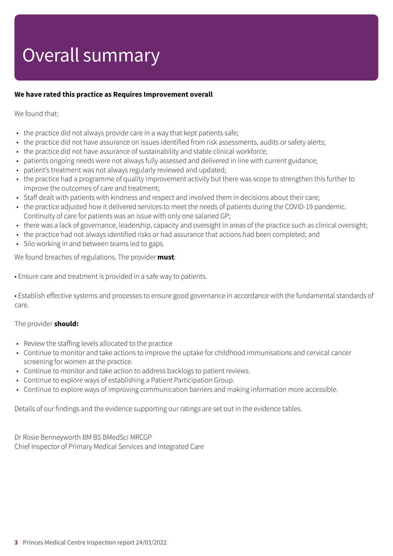## Overall summary

#### **We have rated this practice as Requires Improvement overall**

We found that:

- the practice did not always provide care in a way that kept patients safe;
- the practice did not have assurance on issues identified from risk assessments, audits or safety alerts;
- the practice did not have assurance of sustainability and stable clinical workforce;
- patients ongoing needs were not always fully assessed and delivered in line with current guidance;
- patient's treatment was not always regularly reviewed and updated;
- the practice had a programme of quality improvement activity but there was scope to strengthen this further to improve the outcomes of care and treatment;
- Staff dealt with patients with kindness and respect and involved them in decisions about their care;
- the practice adjusted how it delivered services to meet the needs of patients during the COVID-19 pandemic. Continuity of care for patients was an issue with only one salaried GP;
- there was a lack of governance, leadership, capacity and oversight in areas of the practice such as clinical oversight;
- the practice had not always identified risks or had assurance that actions had been completed; and
- Silo working in and between teams led to gaps.

We found breaches of regulations. The provider **must**:

• Ensure care and treatment is provided in a safe way to patients.

• Establish effective systems and processes to ensure good governance in accordance with the fundamental standards of care.

#### The provider **should:**

- Review the staffing levels allocated to the practice
- Continue to monitor and take actions to improve the uptake for childhood immunisations and cervical cancer screening for women at the practice.
- Continue to monitor and take action to address backlogs to patient reviews.
- Continue to explore ways of establishing a Patient Participation Group.
- Continue to explore ways of improving communication barriers and making information more accessible.

Details of our findings and the evidence supporting our ratings are set out in the evidence tables.

Dr Rosie Benneyworth BM BS BMedSci MRCGP Chief Inspector of Primary Medical Services and Integrated Care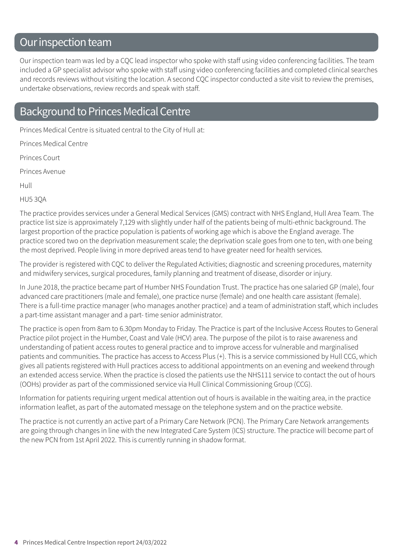## Our inspection team

Our inspection team was led by a CQC lead inspector who spoke with staff using video conferencing facilities. The team included a GP specialist advisor who spoke with staff using video conferencing facilities and completed clinical searches and records reviews without visiting the location. A second CQC inspector conducted a site visit to review the premises, undertake observations, review records and speak with staff.

### Background to Princes Medical Centre

Princes Medical Centre is situated central to the City of Hull at:

Princes Medical Centre

Princes Court

Princes Avenue

Hull

HU5 3QA

The practice provides services under a General Medical Services (GMS) contract with NHS England, Hull Area Team. The practice list size is approximately 7,129 with slightly under half of the patients being of multi-ethnic background. The largest proportion of the practice population is patients of working age which is above the England average. The practice scored two on the deprivation measurement scale; the deprivation scale goes from one to ten, with one being the most deprived. People living in more deprived areas tend to have greater need for health services.

The provider is registered with CQC to deliver the Regulated Activities; diagnostic and screening procedures, maternity and midwifery services, surgical procedures, family planning and treatment of disease, disorder or injury.

In June 2018, the practice became part of Humber NHS Foundation Trust. The practice has one salaried GP (male), four advanced care practitioners (male and female), one practice nurse (female) and one health care assistant (female). There is a full-time practice manager (who manages another practice) and a team of administration staff, which includes a part-time assistant manager and a part- time senior administrator.

The practice is open from 8am to 6.30pm Monday to Friday. The Practice is part of the Inclusive Access Routes to General Practice pilot project in the Humber, Coast and Vale (HCV) area. The purpose of the pilot is to raise awareness and understanding of patient access routes to general practice and to improve access for vulnerable and marginalised patients and communities. The practice has access to Access Plus (+). This is a service commissioned by Hull CCG, which gives all patients registered with Hull practices access to additional appointments on an evening and weekend through an extended access service. When the practice is closed the patients use the NHS111 service to contact the out of hours (OOHs) provider as part of the commissioned service via Hull Clinical Commissioning Group (CCG).

Information for patients requiring urgent medical attention out of hours is available in the waiting area, in the practice information leaflet, as part of the automated message on the telephone system and on the practice website.

The practice is not currently an active part of a Primary Care Network (PCN). The Primary Care Network arrangements are going through changes in line with the new Integrated Care System (ICS) structure. The practice will become part of the new PCN from 1st April 2022. This is currently running in shadow format.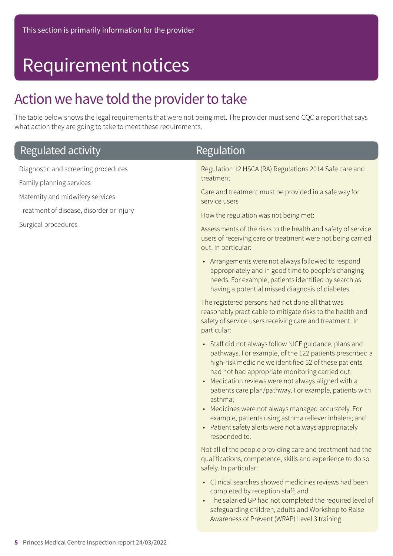## Requirement notices

## Action we have told the provider to take

The table below shows the legal requirements that were not being met. The provider must send CQC a report that says what action they are going to take to meet these requirements.

| Regulated activity                                                                                                                                                     | <b>Regulation</b>                                                                                                                                                                                                                                                                                                                                         |
|------------------------------------------------------------------------------------------------------------------------------------------------------------------------|-----------------------------------------------------------------------------------------------------------------------------------------------------------------------------------------------------------------------------------------------------------------------------------------------------------------------------------------------------------|
| Diagnostic and screening procedures<br>Family planning services<br>Maternity and midwifery services<br>Treatment of disease, disorder or injury<br>Surgical procedures | Regulation 12 HSCA (RA) Regulations 2014 Safe care and<br>treatment<br>Care and treatment must be provided in a safe way for                                                                                                                                                                                                                              |
|                                                                                                                                                                        | service users<br>How the regulation was not being met:<br>Assessments of the risks to the health and safety of service<br>users of receiving care or treatment were not being carried<br>out. In particular:                                                                                                                                              |
|                                                                                                                                                                        | • Arrangements were not always followed to respond<br>appropriately and in good time to people's changing<br>needs. For example, patients identified by search as<br>having a potential missed diagnosis of diabetes.                                                                                                                                     |
|                                                                                                                                                                        | The registered persons had not done all that was<br>reasonably practicable to mitigate risks to the health and<br>safety of service users receiving care and treatment. In<br>particular:                                                                                                                                                                 |
|                                                                                                                                                                        | • Staff did not always follow NICE guidance, plans and<br>pathways. For example, of the 122 patients prescribed a<br>high-risk medicine we identified 52 of these patients<br>had not had appropriate monitoring carried out;<br>• Medication reviews were not always aligned with a<br>patients care plan/pathway. For example, patients with<br>asthma; |
|                                                                                                                                                                        | • Medicines were not always managed accurately. For<br>example, patients using asthma reliever inhalers; and<br>• Patient safety alerts were not always appropriately<br>responded to.                                                                                                                                                                    |
|                                                                                                                                                                        | Not all of the people providing care and treatment had the<br>qualifications, competence, skills and experience to do so<br>safely. In particular:                                                                                                                                                                                                        |
|                                                                                                                                                                        | • Clinical searches showed medicines reviews had been<br>completed by reception staff; and<br>• The salaried GP had not completed the required level of<br>safeguarding children, adults and Workshop to Raise<br>Awareness of Prevent (WRAP) Level 3 training.                                                                                           |